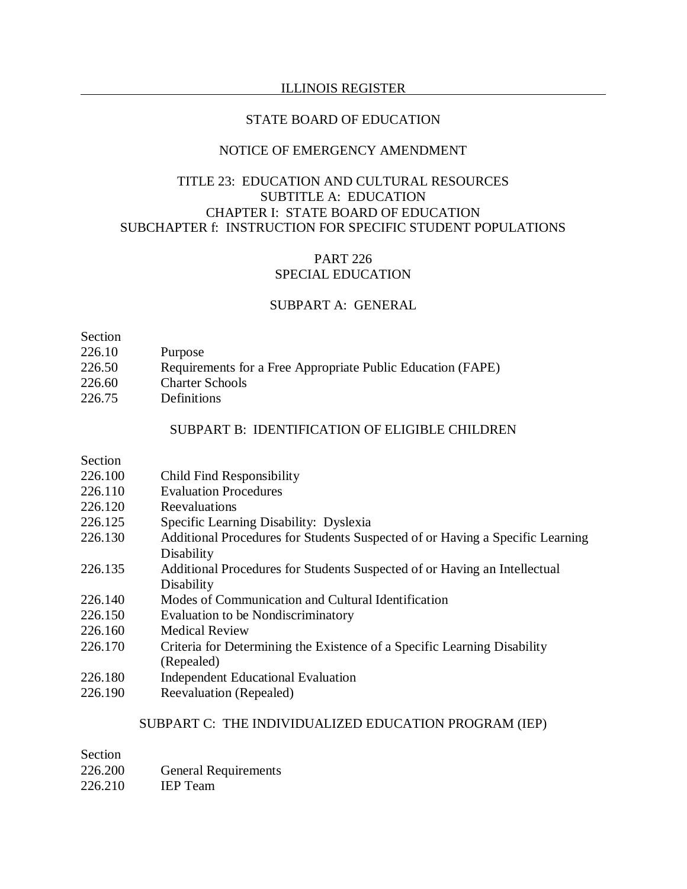#### STATE BOARD OF EDUCATION

## NOTICE OF EMERGENCY AMENDMENT

# TITLE 23: EDUCATION AND CULTURAL RESOURCES SUBTITLE A: EDUCATION CHAPTER I: STATE BOARD OF EDUCATION SUBCHAPTER f: INSTRUCTION FOR SPECIFIC STUDENT POPULATIONS

## PART 226 SPECIAL EDUCATION

## SUBPART A: GENERAL

Section

- 226.10 Purpose
- 226.50 Requirements for a Free Appropriate Public Education (FAPE)
- 226.60 Charter Schools
- 226.75 Definitions

## SUBPART B: IDENTIFICATION OF ELIGIBLE CHILDREN

Section

- 226.100 Child Find Responsibility
- 226.110 Evaluation Procedures
- 226.120 Reevaluations
- 226.125 Specific Learning Disability: Dyslexia
- 226.130 Additional Procedures for Students Suspected of or Having a Specific Learning Disability
- 226.135 Additional Procedures for Students Suspected of or Having an Intellectual Disability
- 226.140 Modes of Communication and Cultural Identification
- 226.150 Evaluation to be Nondiscriminatory
- 226.160 Medical Review
- 226.170 Criteria for Determining the Existence of a Specific Learning Disability (Repealed)
- 226.180 Independent Educational Evaluation
- 226.190 Reevaluation (Repealed)

## SUBPART C: THE INDIVIDUALIZED EDUCATION PROGRAM (IEP)

| Section |                             |
|---------|-----------------------------|
| 226.200 | <b>General Requirements</b> |
| 226.210 | <b>IEP</b> Team             |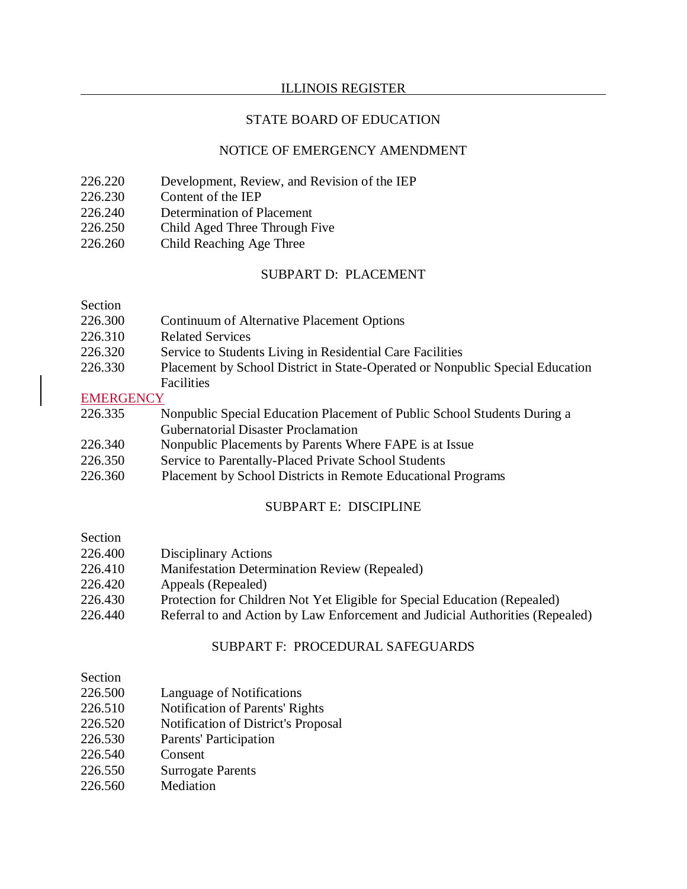## STATE BOARD OF EDUCATION

## NOTICE OF EMERGENCY AMENDMENT

- 226.220 Development, Review, and Revision of the IEP
- 226.230 Content of the IEP
- 226.240 Determination of Placement
- 226.250 Child Aged Three Through Five
- 226.260 Child Reaching Age Three

## SUBPART D: PLACEMENT

## Section

- 226.300 Continuum of Alternative Placement Options
- 226.310 Related Services
- 226.320 Service to Students Living in Residential Care Facilities
- 226.330 Placement by School District in State-Operated or Nonpublic Special Education **Facilities**

#### **EMERGENCY**

- 226.335 Nonpublic Special Education Placement of Public School Students During a Gubernatorial Disaster Proclamation
- 226.340 Nonpublic Placements by Parents Where FAPE is at Issue
- 226.350 Service to Parentally-Placed Private School Students
- 226.360 Placement by School Districts in Remote Educational Programs

## SUBPART E: DISCIPLINE

# Section

- 226.400 Disciplinary Actions
- 226.410 Manifestation Determination Review (Repealed)
- 226.420 Appeals (Repealed)
- 226.430 Protection for Children Not Yet Eligible for Special Education (Repealed)
- 226.440 Referral to and Action by Law Enforcement and Judicial Authorities (Repealed)

#### SUBPART F: PROCEDURAL SAFEGUARDS

#### Section

- 226.500 Language of Notifications
- 226.510 Notification of Parents' Rights
- 226.520 Notification of District's Proposal
- 226.530 Parents' Participation
- 226.540 Consent
- 226.550 Surrogate Parents
- 226.560 Mediation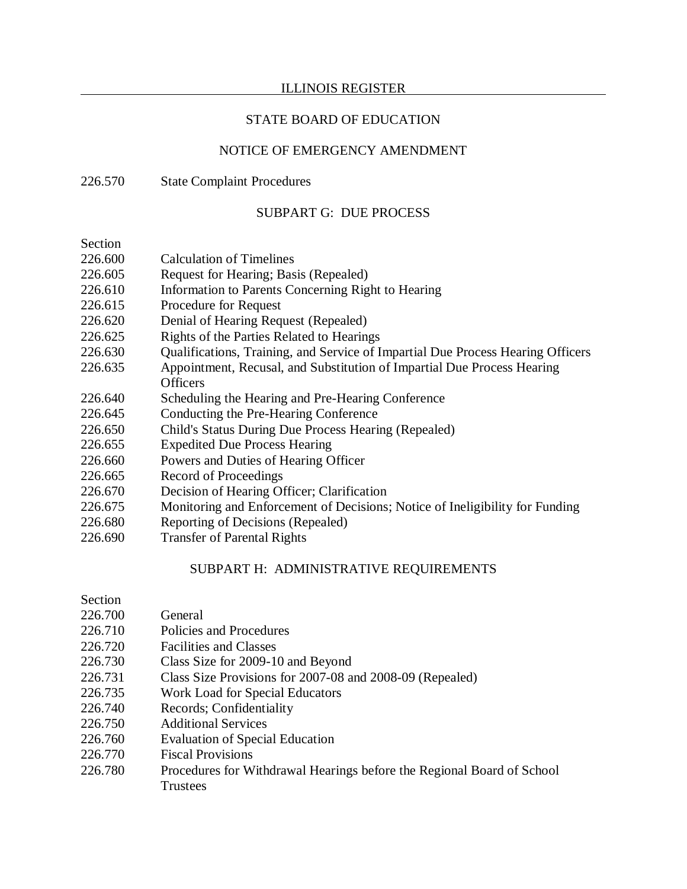## STATE BOARD OF EDUCATION

# NOTICE OF EMERGENCY AMENDMENT

## 226.570 State Complaint Procedures

## SUBPART G: DUE PROCESS

Section

| Section |                                                                                 |
|---------|---------------------------------------------------------------------------------|
| 226.600 | <b>Calculation of Timelines</b>                                                 |
| 226.605 | Request for Hearing; Basis (Repealed)                                           |
| 226.610 | Information to Parents Concerning Right to Hearing                              |
| 226.615 | Procedure for Request                                                           |
| 226.620 | Denial of Hearing Request (Repealed)                                            |
| 226.625 | Rights of the Parties Related to Hearings                                       |
| 226.630 | Qualifications, Training, and Service of Impartial Due Process Hearing Officers |
| 226.635 | Appointment, Recusal, and Substitution of Impartial Due Process Hearing         |
|         | <b>Officers</b>                                                                 |
| 226.640 | Scheduling the Hearing and Pre-Hearing Conference                               |
| 226.645 | Conducting the Pre-Hearing Conference                                           |
| 226.650 | Child's Status During Due Process Hearing (Repealed)                            |
| 226.655 | <b>Expedited Due Process Hearing</b>                                            |
| 226.660 | Powers and Duties of Hearing Officer                                            |
| 226.665 | Record of Proceedings                                                           |
| 226.670 | Decision of Hearing Officer; Clarification                                      |
| 226.675 | Monitoring and Enforcement of Decisions; Notice of Ineligibility for Funding    |
| 226.680 | Reporting of Decisions (Repealed)                                               |
| 226.690 | <b>Transfer of Parental Rights</b>                                              |

## SUBPART H: ADMINISTRATIVE REQUIREMENTS

| Section |  |
|---------|--|
|         |  |

- 226.700 General
- 226.710 Policies and Procedures
- 226.720 Facilities and Classes
- 226.730 Class Size for 2009-10 and Beyond
- 226.731 Class Size Provisions for 2007-08 and 2008-09 (Repealed)
- 226.735 Work Load for Special Educators
- 226.740 Records; Confidentiality
- 226.750 Additional Services
- 226.760 Evaluation of Special Education
- 226.770 Fiscal Provisions
- 226.780 Procedures for Withdrawal Hearings before the Regional Board of School Trustees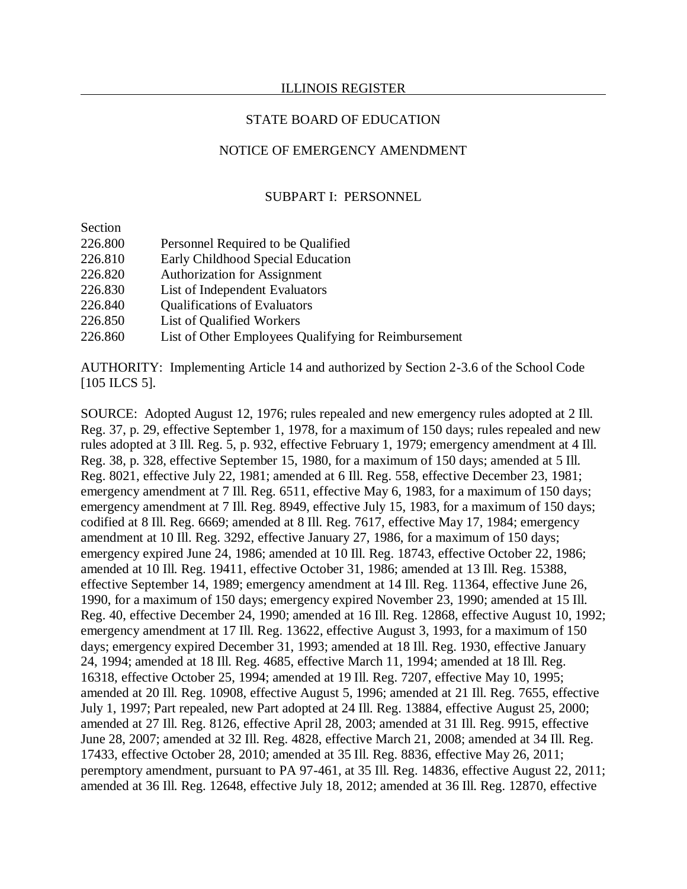### STATE BOARD OF EDUCATION

## NOTICE OF EMERGENCY AMENDMENT

#### SUBPART I: PERSONNEL

Section

- 226.800 Personnel Required to be Qualified
- 226.810 Early Childhood Special Education
- 226.820 Authorization for Assignment
- 226.830 List of Independent Evaluators
- 226.840 Qualifications of Evaluators
- 226.850 List of Qualified Workers
- 226.860 List of Other Employees Qualifying for Reimbursement

AUTHORITY: Implementing Article 14 and authorized by Section 2-3.6 of the School Code [105 ILCS 5].

SOURCE: Adopted August 12, 1976; rules repealed and new emergency rules adopted at 2 Ill. Reg. 37, p. 29, effective September 1, 1978, for a maximum of 150 days; rules repealed and new rules adopted at 3 Ill. Reg. 5, p. 932, effective February 1, 1979; emergency amendment at 4 Ill. Reg. 38, p. 328, effective September 15, 1980, for a maximum of 150 days; amended at 5 Ill. Reg. 8021, effective July 22, 1981; amended at 6 Ill. Reg. 558, effective December 23, 1981; emergency amendment at 7 Ill. Reg. 6511, effective May 6, 1983, for a maximum of 150 days; emergency amendment at 7 Ill. Reg. 8949, effective July 15, 1983, for a maximum of 150 days; codified at 8 Ill. Reg. 6669; amended at 8 Ill. Reg. 7617, effective May 17, 1984; emergency amendment at 10 Ill. Reg. 3292, effective January 27, 1986, for a maximum of 150 days; emergency expired June 24, 1986; amended at 10 Ill. Reg. 18743, effective October 22, 1986; amended at 10 Ill. Reg. 19411, effective October 31, 1986; amended at 13 Ill. Reg. 15388, effective September 14, 1989; emergency amendment at 14 Ill. Reg. 11364, effective June 26, 1990, for a maximum of 150 days; emergency expired November 23, 1990; amended at 15 Ill. Reg. 40, effective December 24, 1990; amended at 16 Ill. Reg. 12868, effective August 10, 1992; emergency amendment at 17 Ill. Reg. 13622, effective August 3, 1993, for a maximum of 150 days; emergency expired December 31, 1993; amended at 18 Ill. Reg. 1930, effective January 24, 1994; amended at 18 Ill. Reg. 4685, effective March 11, 1994; amended at 18 Ill. Reg. 16318, effective October 25, 1994; amended at 19 Ill. Reg. 7207, effective May 10, 1995; amended at 20 Ill. Reg. 10908, effective August 5, 1996; amended at 21 Ill. Reg. 7655, effective July 1, 1997; Part repealed, new Part adopted at 24 Ill. Reg. 13884, effective August 25, 2000; amended at 27 Ill. Reg. 8126, effective April 28, 2003; amended at 31 Ill. Reg. 9915, effective June 28, 2007; amended at 32 Ill. Reg. 4828, effective March 21, 2008; amended at 34 Ill. Reg. 17433, effective October 28, 2010; amended at 35 Ill. Reg. 8836, effective May 26, 2011; peremptory amendment, pursuant to PA 97-461, at 35 Ill. Reg. 14836, effective August 22, 2011; amended at 36 Ill. Reg. 12648, effective July 18, 2012; amended at 36 Ill. Reg. 12870, effective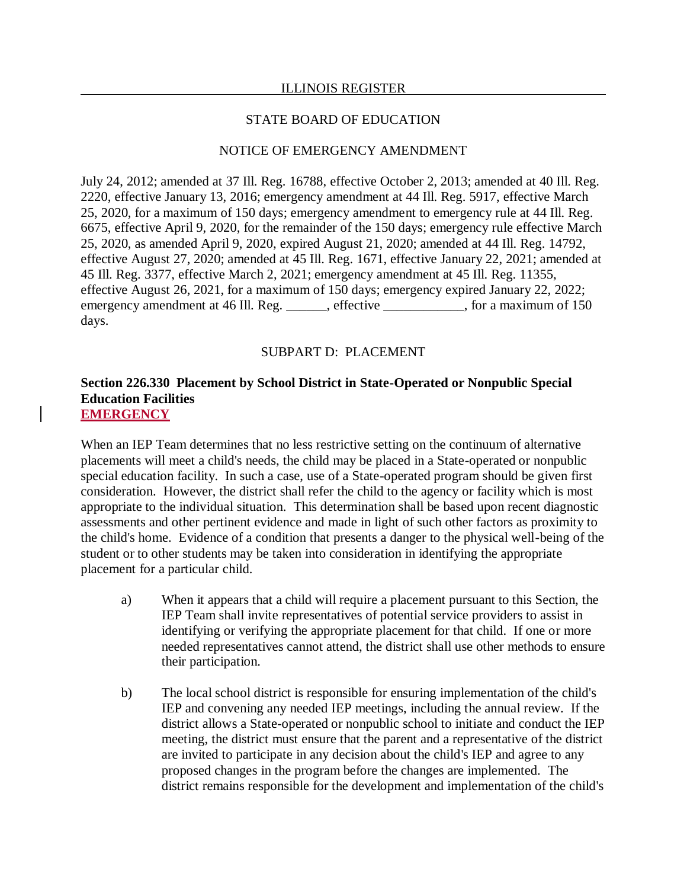### STATE BOARD OF EDUCATION

## NOTICE OF EMERGENCY AMENDMENT

July 24, 2012; amended at 37 Ill. Reg. 16788, effective October 2, 2013; amended at 40 Ill. Reg. 2220, effective January 13, 2016; emergency amendment at 44 Ill. Reg. 5917, effective March 25, 2020, for a maximum of 150 days; emergency amendment to emergency rule at 44 Ill. Reg. 6675, effective April 9, 2020, for the remainder of the 150 days; emergency rule effective March 25, 2020, as amended April 9, 2020, expired August 21, 2020; amended at 44 Ill. Reg. 14792, effective August 27, 2020; amended at 45 Ill. Reg. 1671, effective January 22, 2021; amended at 45 Ill. Reg. 3377, effective March 2, 2021; emergency amendment at 45 Ill. Reg. 11355, effective August 26, 2021, for a maximum of 150 days; emergency expired January 22, 2022; emergency amendment at 46 Ill. Reg. \_\_\_\_\_, effective \_\_\_\_\_\_\_\_, for a maximum of 150 days.

## SUBPART D: PLACEMENT

### **Section 226.330 Placement by School District in State-Operated or Nonpublic Special Education Facilities EMERGENCY**

When an IEP Team determines that no less restrictive setting on the continuum of alternative placements will meet a child's needs, the child may be placed in a State-operated or nonpublic special education facility. In such a case, use of a State-operated program should be given first consideration. However, the district shall refer the child to the agency or facility which is most appropriate to the individual situation. This determination shall be based upon recent diagnostic assessments and other pertinent evidence and made in light of such other factors as proximity to the child's home. Evidence of a condition that presents a danger to the physical well-being of the student or to other students may be taken into consideration in identifying the appropriate placement for a particular child.

- a) When it appears that a child will require a placement pursuant to this Section, the IEP Team shall invite representatives of potential service providers to assist in identifying or verifying the appropriate placement for that child. If one or more needed representatives cannot attend, the district shall use other methods to ensure their participation.
- b) The local school district is responsible for ensuring implementation of the child's IEP and convening any needed IEP meetings, including the annual review. If the district allows a State-operated or nonpublic school to initiate and conduct the IEP meeting, the district must ensure that the parent and a representative of the district are invited to participate in any decision about the child's IEP and agree to any proposed changes in the program before the changes are implemented. The district remains responsible for the development and implementation of the child's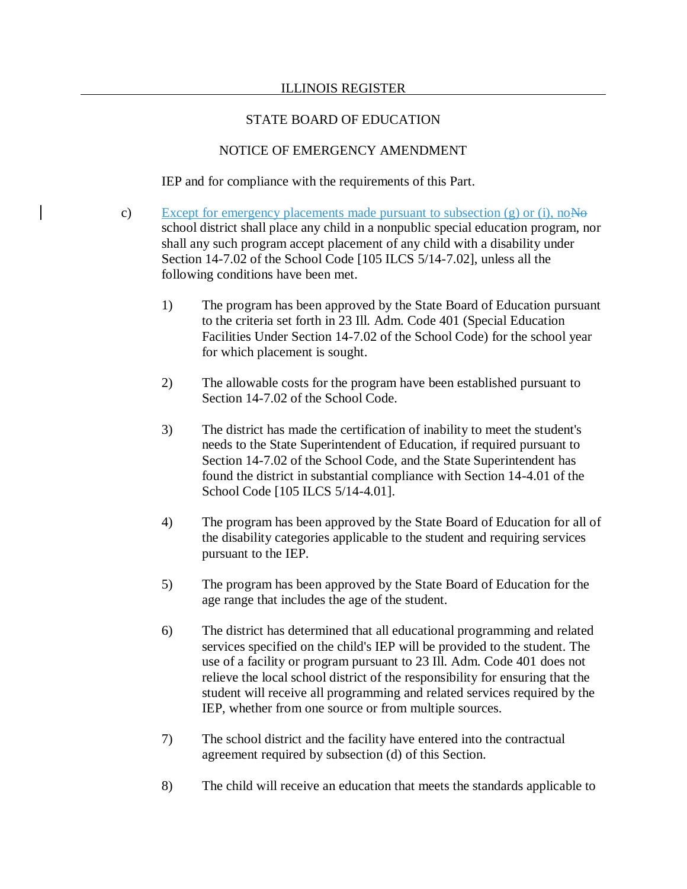## STATE BOARD OF EDUCATION

## NOTICE OF EMERGENCY AMENDMENT

IEP and for compliance with the requirements of this Part.

- c) Except for emergency placements made pursuant to subsection  $(g)$  or (i), no  $\overline{A}$ school district shall place any child in a nonpublic special education program, nor shall any such program accept placement of any child with a disability under Section 14-7.02 of the School Code [105 ILCS 5/14-7.02], unless all the following conditions have been met.
	- 1) The program has been approved by the State Board of Education pursuant to the criteria set forth in 23 Ill. Adm. Code 401 (Special Education Facilities Under Section 14-7.02 of the School Code) for the school year for which placement is sought.
	- 2) The allowable costs for the program have been established pursuant to Section 14-7.02 of the School Code.
	- 3) The district has made the certification of inability to meet the student's needs to the State Superintendent of Education, if required pursuant to Section 14-7.02 of the School Code, and the State Superintendent has found the district in substantial compliance with Section 14-4.01 of the School Code [105 ILCS 5/14-4.01].
	- 4) The program has been approved by the State Board of Education for all of the disability categories applicable to the student and requiring services pursuant to the IEP.
	- 5) The program has been approved by the State Board of Education for the age range that includes the age of the student.
	- 6) The district has determined that all educational programming and related services specified on the child's IEP will be provided to the student. The use of a facility or program pursuant to 23 Ill. Adm. Code 401 does not relieve the local school district of the responsibility for ensuring that the student will receive all programming and related services required by the IEP, whether from one source or from multiple sources.
	- 7) The school district and the facility have entered into the contractual agreement required by subsection (d) of this Section.
	- 8) The child will receive an education that meets the standards applicable to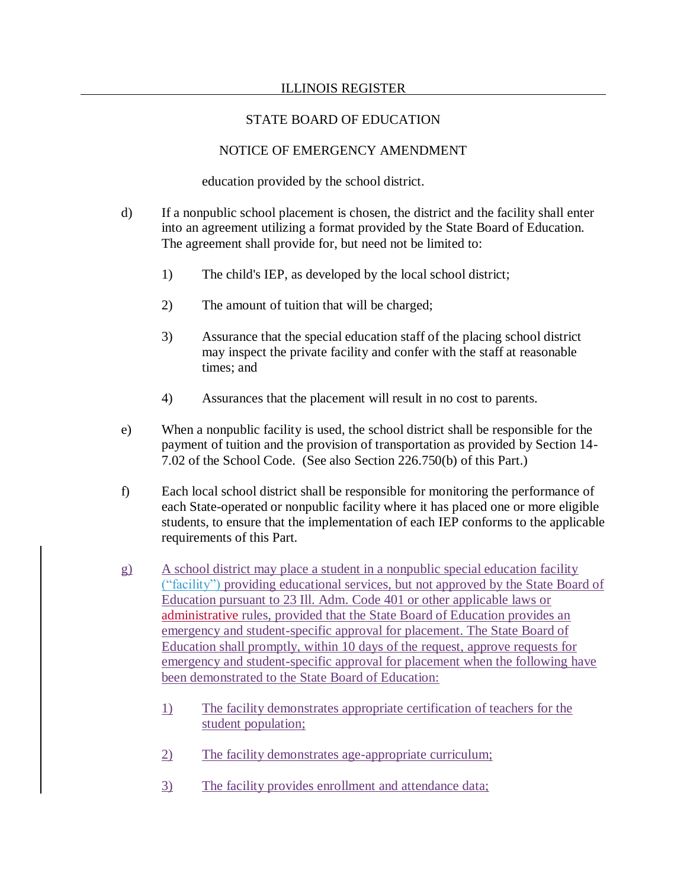## STATE BOARD OF EDUCATION

# NOTICE OF EMERGENCY AMENDMENT

education provided by the school district.

- d) If a nonpublic school placement is chosen, the district and the facility shall enter into an agreement utilizing a format provided by the State Board of Education. The agreement shall provide for, but need not be limited to:
	- 1) The child's IEP, as developed by the local school district;
	- 2) The amount of tuition that will be charged;
	- 3) Assurance that the special education staff of the placing school district may inspect the private facility and confer with the staff at reasonable times; and
	- 4) Assurances that the placement will result in no cost to parents.
- e) When a nonpublic facility is used, the school district shall be responsible for the payment of tuition and the provision of transportation as provided by Section 14- 7.02 of the School Code. (See also Section 226.750(b) of this Part.)
- f) Each local school district shall be responsible for monitoring the performance of each State-operated or nonpublic facility where it has placed one or more eligible students, to ensure that the implementation of each IEP conforms to the applicable requirements of this Part.
- g) A school district may place a student in a nonpublic special education facility ("facility") providing educational services, but not approved by the State Board of Education pursuant to 23 Ill. Adm. Code 401 or other applicable laws or administrative rules, provided that the State Board of Education provides an emergency and student-specific approval for placement. The State Board of Education shall promptly, within 10 days of the request, approve requests for emergency and student-specific approval for placement when the following have been demonstrated to the State Board of Education:
	- 1) The facility demonstrates appropriate certification of teachers for the student population;
	- 2) The facility demonstrates age-appropriate curriculum;
	- 3) The facility provides enrollment and attendance data;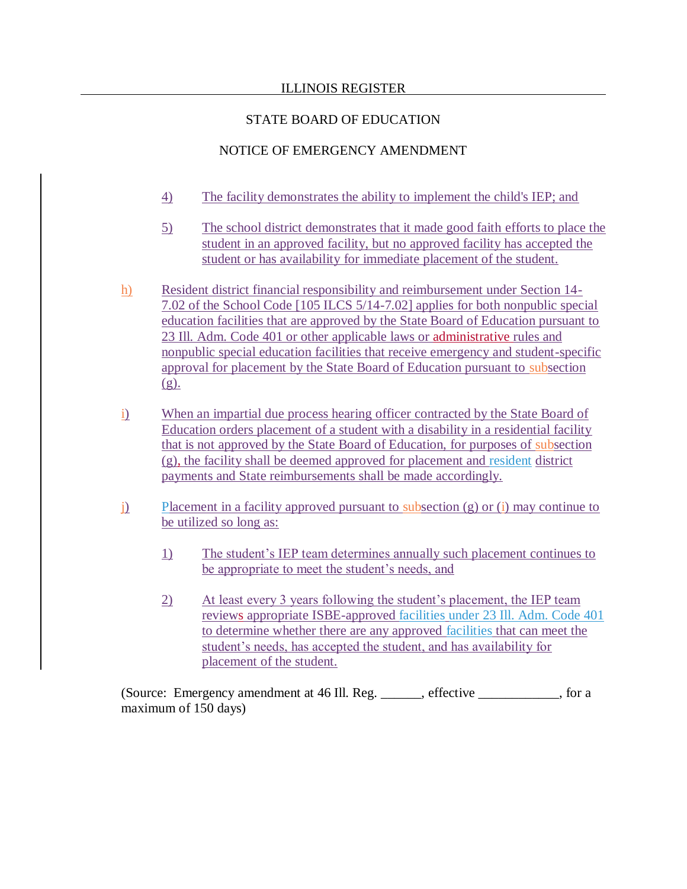# STATE BOARD OF EDUCATION

# NOTICE OF EMERGENCY AMENDMENT

- 4) The facility demonstrates the ability to implement the child's IEP; and
- 5) The school district demonstrates that it made good faith efforts to place the student in an approved facility, but no approved facility has accepted the student or has availability for immediate placement of the student.
- h) Resident district financial responsibility and reimbursement under Section 14- 7.02 of the School Code [105 ILCS 5/14-7.02] applies for both nonpublic special education facilities that are approved by the State Board of Education pursuant to 23 Ill. Adm. Code 401 or other applicable laws or administrative rules and nonpublic special education facilities that receive emergency and student-specific approval for placement by the State Board of Education pursuant to subsection  $(g)$ .
- i) When an impartial due process hearing officer contracted by the State Board of Education orders placement of a student with a disability in a residential facility that is not approved by the State Board of Education, for purposes of subsection (g), the facility shall be deemed approved for placement and resident district payments and State reimbursements shall be made accordingly.
- j) Placement in a facility approved pursuant to subsection (g) or (i) may continue to be utilized so long as:
	- 1) The student's IEP team determines annually such placement continues to be appropriate to meet the student's needs, and
	- 2) At least every 3 years following the student's placement, the IEP team reviews appropriate ISBE-approved facilities under 23 Ill. Adm. Code 401 to determine whether there are any approved facilities that can meet the student's needs, has accepted the student, and has availability for placement of the student.

(Source: Emergency amendment at 46 Ill. Reg. \_\_\_\_\_\_, effective \_\_\_\_\_\_\_\_\_\_\_\_, for a maximum of 150 days)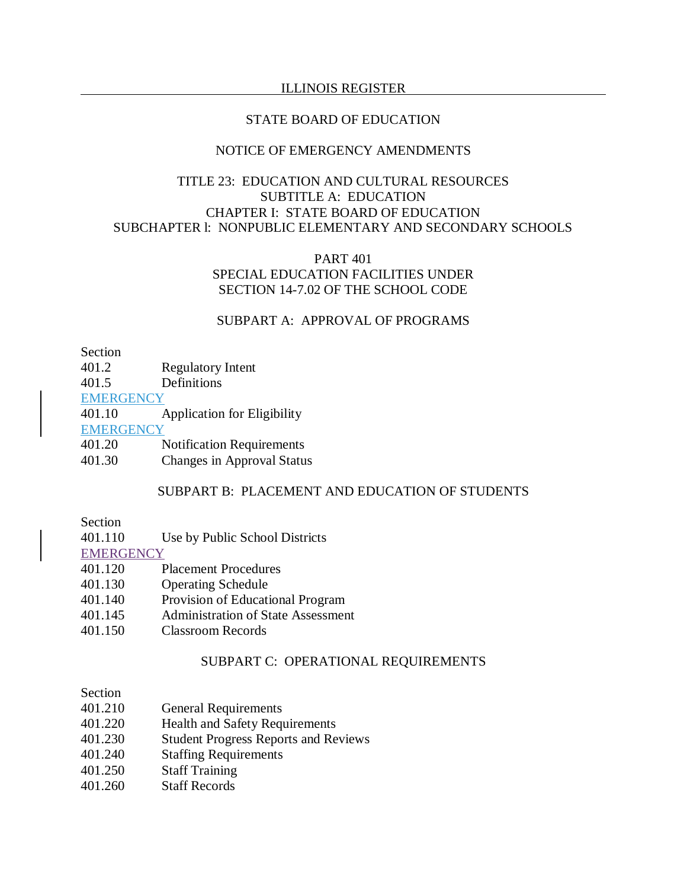#### STATE BOARD OF EDUCATION

## NOTICE OF EMERGENCY AMENDMENTS

# TITLE 23: EDUCATION AND CULTURAL RESOURCES SUBTITLE A: EDUCATION CHAPTER I: STATE BOARD OF EDUCATION SUBCHAPTER l: NONPUBLIC ELEMENTARY AND SECONDARY SCHOOLS

## PART 401 SPECIAL EDUCATION FACILITIES UNDER SECTION 14-7.02 OF THE SCHOOL CODE

#### SUBPART A: APPROVAL OF PROGRAMS

Section

401.2 Regulatory Intent

401.5 Definitions

**EMERGENCY** 

401.10 Application for Eligibility

**EMERGENCY** 

401.20 Notification Requirements

401.30 Changes in Approval Status

### SUBPART B: PLACEMENT AND EDUCATION OF STUDENTS

### Section

401.110 Use by Public School Districts

**EMERGENCY** 

- 401.120 Placement Procedures
- 401.130 Operating Schedule
- 401.140 Provision of Educational Program
- 401.145 Administration of State Assessment
- 401.150 Classroom Records

#### SUBPART C: OPERATIONAL REQUIREMENTS

## Section

| <b>General Requirements</b> |
|-----------------------------|
|                             |

- 401.220 Health and Safety Requirements
- 401.230 Student Progress Reports and Reviews
- 401.240 Staffing Requirements
- 401.250 Staff Training
- 401.260 Staff Records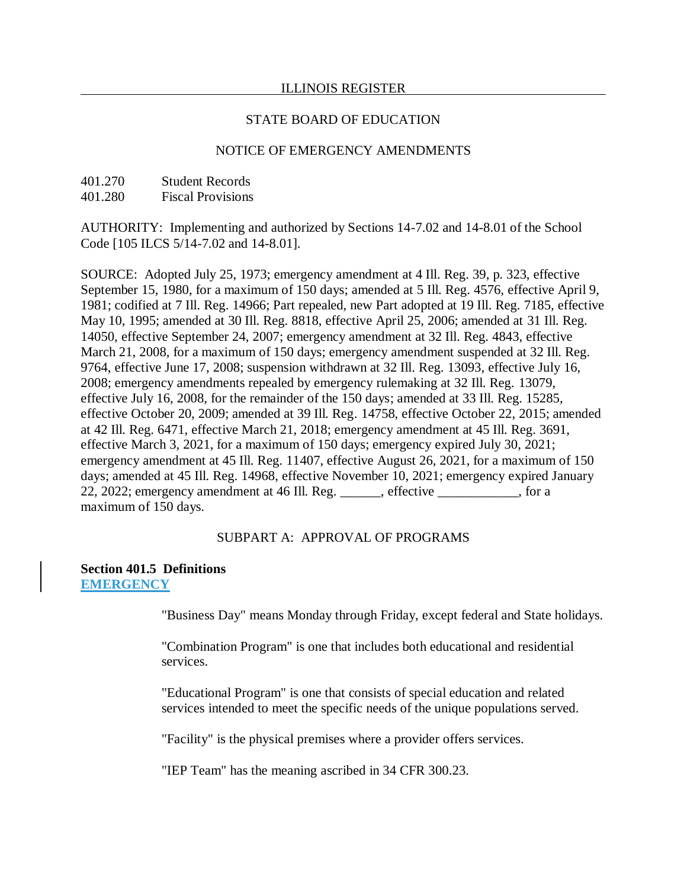### STATE BOARD OF EDUCATION

## NOTICE OF EMERGENCY AMENDMENTS

| 401.270 | <b>Student Records</b>   |
|---------|--------------------------|
| 401.280 | <b>Fiscal Provisions</b> |

AUTHORITY: Implementing and authorized by Sections 14-7.02 and 14-8.01 of the School Code [105 ILCS 5/14-7.02 and 14-8.01].

SOURCE: Adopted July 25, 1973; emergency amendment at 4 Ill. Reg. 39, p. 323, effective September 15, 1980, for a maximum of 150 days; amended at 5 Ill. Reg. 4576, effective April 9, 1981; codified at 7 Ill. Reg. 14966; Part repealed, new Part adopted at 19 Ill. Reg. 7185, effective May 10, 1995; amended at 30 Ill. Reg. 8818, effective April 25, 2006; amended at 31 Ill. Reg. 14050, effective September 24, 2007; emergency amendment at 32 Ill. Reg. 4843, effective March 21, 2008, for a maximum of 150 days; emergency amendment suspended at 32 Ill. Reg. 9764, effective June 17, 2008; suspension withdrawn at 32 Ill. Reg. 13093, effective July 16, 2008; emergency amendments repealed by emergency rulemaking at 32 Ill. Reg. 13079, effective July 16, 2008, for the remainder of the 150 days; amended at 33 Ill. Reg. 15285, effective October 20, 2009; amended at 39 Ill. Reg. 14758, effective October 22, 2015; amended at 42 Ill. Reg. 6471, effective March 21, 2018; emergency amendment at 45 Ill. Reg. 3691, effective March 3, 2021, for a maximum of 150 days; emergency expired July 30, 2021; emergency amendment at 45 Ill. Reg. 11407, effective August 26, 2021, for a maximum of 150 days; amended at 45 Ill. Reg. 14968, effective November 10, 2021; emergency expired January 22, 2022; emergency amendment at 46 Ill. Reg. \_\_\_\_\_\_, effective \_\_\_\_\_\_\_\_\_\_\_\_, for a maximum of 150 days.

## SUBPART A: APPROVAL OF PROGRAMS

#### **Section 401.5 Definitions EMERGENCY**

"Business Day" means Monday through Friday, except federal and State holidays.

"Combination Program" is one that includes both educational and residential services.

"Educational Program" is one that consists of special education and related services intended to meet the specific needs of the unique populations served.

"Facility" is the physical premises where a provider offers services.

"IEP Team" has the meaning ascribed in 34 CFR 300.23.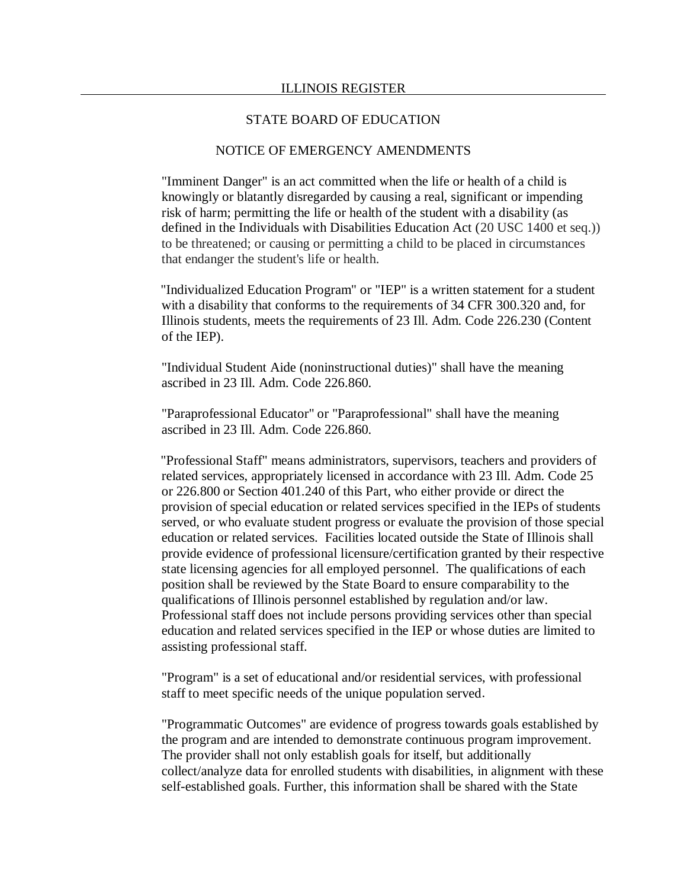### NOTICE OF EMERGENCY AMENDMENTS

"Imminent Danger" is an act committed when the life or health of a child is knowingly or blatantly disregarded by causing a real, significant or impending risk of harm; permitting the life or health of the student with a disability (as defined in the Individuals with Disabilities Education Act (20 USC 1400 et seq.)) to be threatened; or causing or permitting a child to be placed in circumstances that endanger the student's life or health.

"Individualized Education Program" or "IEP" is a written statement for a student with a disability that conforms to the requirements of 34 CFR 300.320 and, for Illinois students, meets the requirements of 23 Ill. Adm. Code 226.230 (Content of the IEP).

"Individual Student Aide (noninstructional duties)" shall have the meaning ascribed in 23 Ill. Adm. Code 226.860.

"Paraprofessional Educator" or "Paraprofessional" shall have the meaning ascribed in 23 Ill. Adm. Code 226.860.

"Professional Staff" means administrators, supervisors, teachers and providers of related services, appropriately licensed in accordance with 23 Ill. Adm. Code 25 or 226.800 or Section 401.240 of this Part, who either provide or direct the provision of special education or related services specified in the IEPs of students served, or who evaluate student progress or evaluate the provision of those special education or related services. Facilities located outside the State of Illinois shall provide evidence of professional licensure/certification granted by their respective state licensing agencies for all employed personnel. The qualifications of each position shall be reviewed by the State Board to ensure comparability to the qualifications of Illinois personnel established by regulation and/or law. Professional staff does not include persons providing services other than special education and related services specified in the IEP or whose duties are limited to assisting professional staff.

"Program" is a set of educational and/or residential services, with professional staff to meet specific needs of the unique population served.

"Programmatic Outcomes" are evidence of progress towards goals established by the program and are intended to demonstrate continuous program improvement. The provider shall not only establish goals for itself, but additionally collect/analyze data for enrolled students with disabilities, in alignment with these self-established goals. Further, this information shall be shared with the State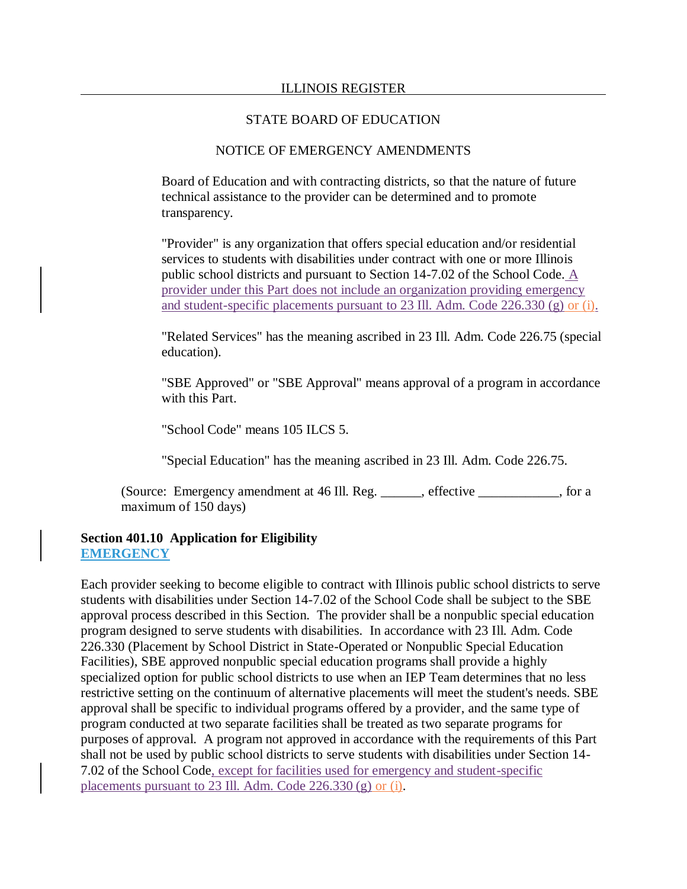### NOTICE OF EMERGENCY AMENDMENTS

Board of Education and with contracting districts, so that the nature of future technical assistance to the provider can be determined and to promote transparency.

"Provider" is any organization that offers special education and/or residential services to students with disabilities under contract with one or more Illinois public school districts and pursuant to Section 14-7.02 of the School Code. A provider under this Part does not include an organization providing emergency and student-specific placements pursuant to 23 Ill. Adm. Code 226.330 (g) or (i).

"Related Services" has the meaning ascribed in 23 Ill. Adm. Code 226.75 (special education).

"SBE Approved" or "SBE Approval" means approval of a program in accordance with this Part.

"School Code" means 105 ILCS 5.

"Special Education" has the meaning ascribed in 23 Ill. Adm. Code 226.75.

(Source: Emergency amendment at 46 Ill. Reg. \_\_\_\_\_\_, effective \_\_\_\_\_\_\_\_\_\_\_\_, for a maximum of 150 days)

## **Section 401.10 Application for Eligibility EMERGENCY**

Each provider seeking to become eligible to contract with Illinois public school districts to serve students with disabilities under Section 14-7.02 of the School Code shall be subject to the SBE approval process described in this Section. The provider shall be a nonpublic special education program designed to serve students with disabilities. In accordance with 23 Ill. Adm. Code 226.330 (Placement by School District in State-Operated or Nonpublic Special Education Facilities), SBE approved nonpublic special education programs shall provide a highly specialized option for public school districts to use when an IEP Team determines that no less restrictive setting on the continuum of alternative placements will meet the student's needs. SBE approval shall be specific to individual programs offered by a provider, and the same type of program conducted at two separate facilities shall be treated as two separate programs for purposes of approval. A program not approved in accordance with the requirements of this Part shall not be used by public school districts to serve students with disabilities under Section 14- 7.02 of the School Code, except for facilities used for emergency and student-specific placements pursuant to 23 Ill. Adm. Code 226.330 (g) or (i).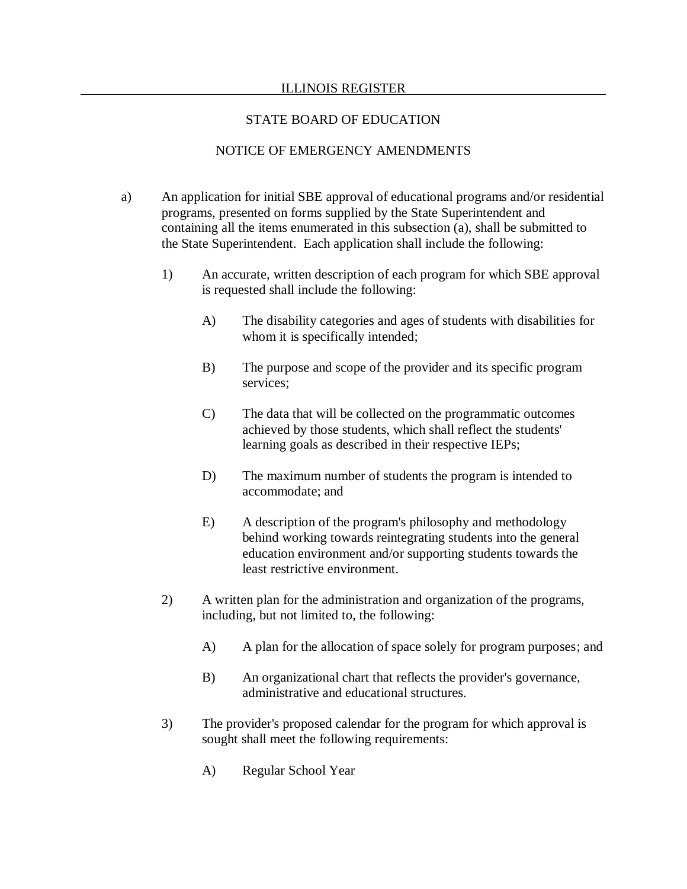## STATE BOARD OF EDUCATION

## NOTICE OF EMERGENCY AMENDMENTS

- a) An application for initial SBE approval of educational programs and/or residential programs, presented on forms supplied by the State Superintendent and containing all the items enumerated in this subsection (a), shall be submitted to the State Superintendent. Each application shall include the following:
	- 1) An accurate, written description of each program for which SBE approval is requested shall include the following:
		- A) The disability categories and ages of students with disabilities for whom it is specifically intended;
		- B) The purpose and scope of the provider and its specific program services;
		- C) The data that will be collected on the programmatic outcomes achieved by those students, which shall reflect the students' learning goals as described in their respective IEPs;
		- D) The maximum number of students the program is intended to accommodate; and
		- E) A description of the program's philosophy and methodology behind working towards reintegrating students into the general education environment and/or supporting students towards the least restrictive environment.
	- 2) A written plan for the administration and organization of the programs, including, but not limited to, the following:
		- A) A plan for the allocation of space solely for program purposes; and
		- B) An organizational chart that reflects the provider's governance, administrative and educational structures.
	- 3) The provider's proposed calendar for the program for which approval is sought shall meet the following requirements:
		- A) Regular School Year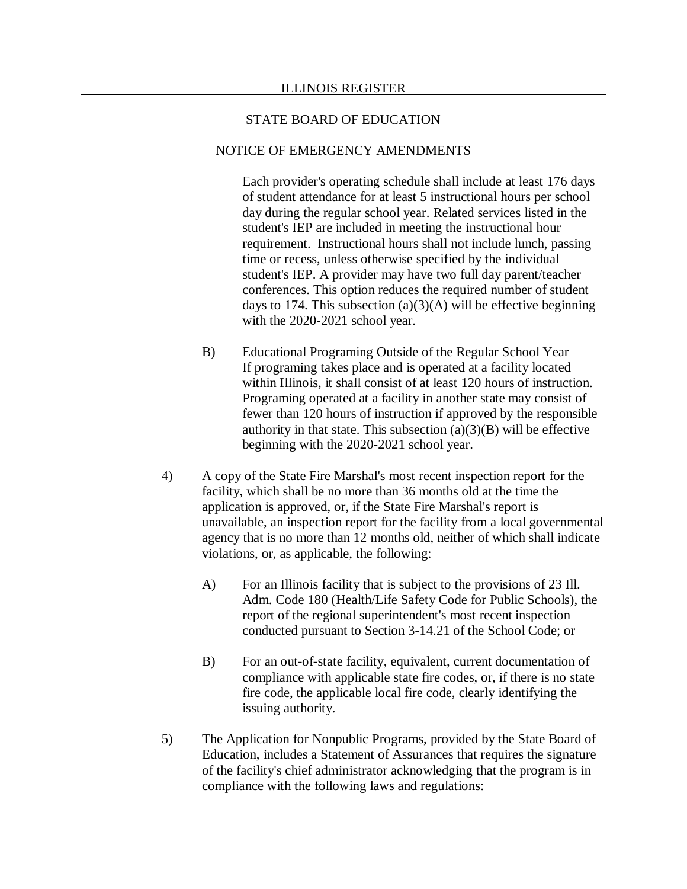#### NOTICE OF EMERGENCY AMENDMENTS

Each provider's operating schedule shall include at least 176 days of student attendance for at least 5 instructional hours per school day during the regular school year. Related services listed in the student's IEP are included in meeting the instructional hour requirement. Instructional hours shall not include lunch, passing time or recess, unless otherwise specified by the individual student's IEP. A provider may have two full day parent/teacher conferences. This option reduces the required number of student days to 174. This subsection  $(a)(3)(A)$  will be effective beginning with the 2020-2021 school year.

- B) Educational Programing Outside of the Regular School Year If programing takes place and is operated at a facility located within Illinois, it shall consist of at least 120 hours of instruction. Programing operated at a facility in another state may consist of fewer than 120 hours of instruction if approved by the responsible authority in that state. This subsection  $(a)(3)(B)$  will be effective beginning with the 2020-2021 school year.
- 4) A copy of the State Fire Marshal's most recent inspection report for the facility, which shall be no more than 36 months old at the time the application is approved, or, if the State Fire Marshal's report is unavailable, an inspection report for the facility from a local governmental agency that is no more than 12 months old, neither of which shall indicate violations, or, as applicable, the following:
	- A) For an Illinois facility that is subject to the provisions of 23 Ill. Adm. Code 180 (Health/Life Safety Code for Public Schools), the report of the regional superintendent's most recent inspection conducted pursuant to Section 3-14.21 of the School Code; or
	- B) For an out-of-state facility, equivalent, current documentation of compliance with applicable state fire codes, or, if there is no state fire code, the applicable local fire code, clearly identifying the issuing authority.
- 5) The Application for Nonpublic Programs, provided by the State Board of Education, includes a Statement of Assurances that requires the signature of the facility's chief administrator acknowledging that the program is in compliance with the following laws and regulations: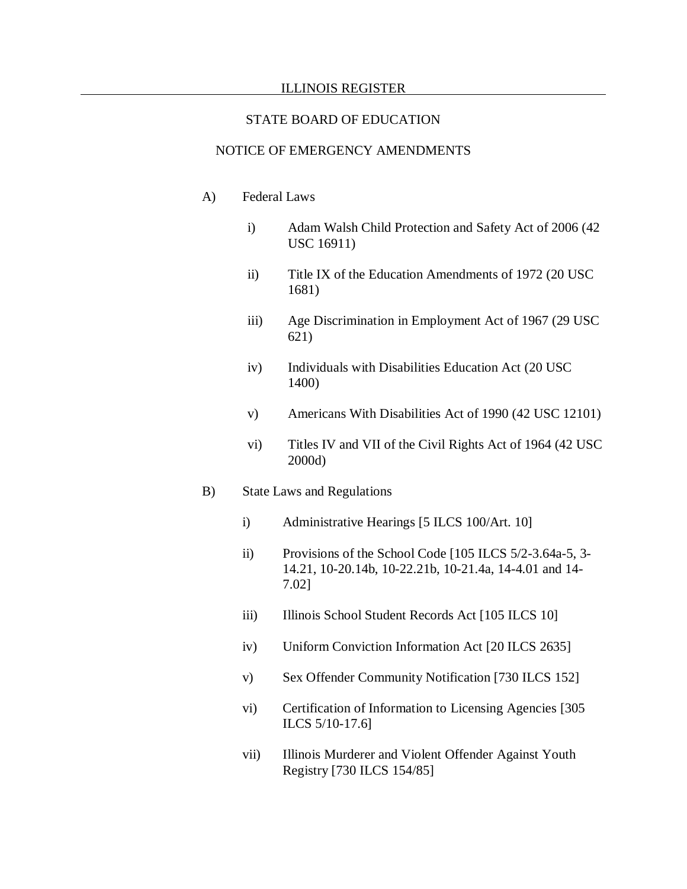#### STATE BOARD OF EDUCATION

## NOTICE OF EMERGENCY AMENDMENTS

- A) Federal Laws
	- i) Adam Walsh Child Protection and Safety Act of 2006 (42 USC 16911)
	- ii) Title IX of the Education Amendments of 1972 (20 USC 1681)
	- iii) Age Discrimination in Employment Act of 1967 (29 USC 621)
	- iv) Individuals with Disabilities Education Act (20 USC 1400)
	- v) Americans With Disabilities Act of 1990 (42 USC 12101)
	- vi) Titles IV and VII of the Civil Rights Act of 1964 (42 USC 2000d)

#### B) State Laws and Regulations

- i) Administrative Hearings [5 ILCS 100/Art. 10]
- ii) Provisions of the School Code [105 ILCS 5/2-3.64a-5, 3- 14.21, 10-20.14b, 10-22.21b, 10-21.4a, 14-4.01 and 14- 7.02]
- iii) Illinois School Student Records Act [105 ILCS 10]
- iv) Uniform Conviction Information Act [20 ILCS 2635]
- v) Sex Offender Community Notification [730 ILCS 152]
- vi) Certification of Information to Licensing Agencies [305 ILCS 5/10-17.6]
- vii) Illinois Murderer and Violent Offender Against Youth Registry [730 ILCS 154/85]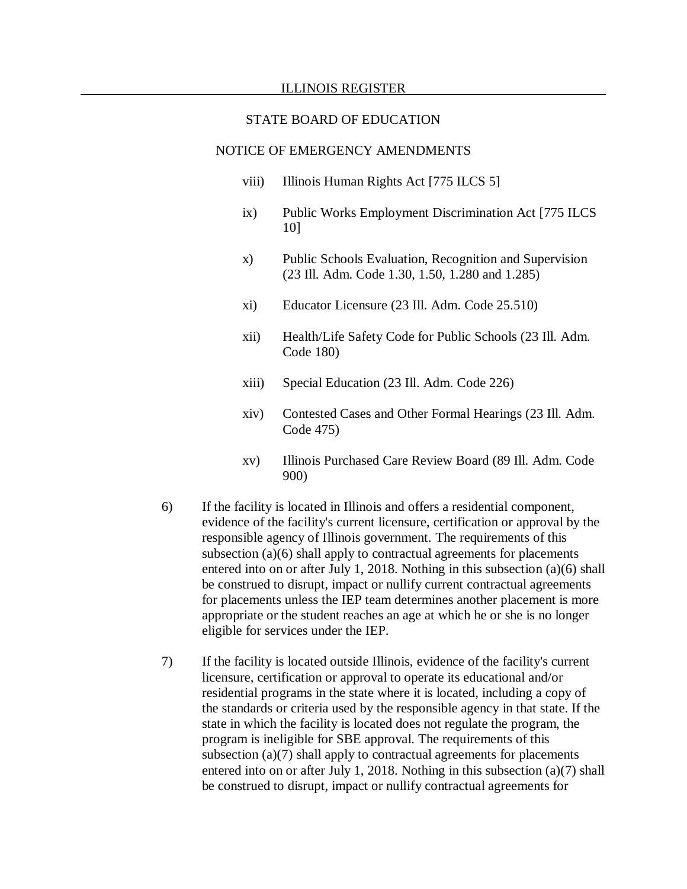#### STATE BOARD OF EDUCATION

### NOTICE OF EMERGENCY AMENDMENTS

- viii) Illinois Human Rights Act [775 ILCS 5]
- ix) Public Works Employment Discrimination Act [775 ILCS 10]
- x) Public Schools Evaluation, Recognition and Supervision (23 Ill. Adm. Code 1.30, 1.50, 1.280 and 1.285)
- xi) Educator Licensure (23 Ill. Adm. Code 25.510)
- xii) Health/Life Safety Code for Public Schools (23 Ill. Adm. Code 180)
- xiii) Special Education (23 Ill. Adm. Code 226)
- xiv) Contested Cases and Other Formal Hearings (23 Ill. Adm. Code 475)
- xv) Illinois Purchased Care Review Board (89 Ill. Adm. Code 900)
- 6) If the facility is located in Illinois and offers a residential component, evidence of the facility's current licensure, certification or approval by the responsible agency of Illinois government. The requirements of this subsection (a)(6) shall apply to contractual agreements for placements entered into on or after July 1, 2018. Nothing in this subsection (a)(6) shall be construed to disrupt, impact or nullify current contractual agreements for placements unless the IEP team determines another placement is more appropriate or the student reaches an age at which he or she is no longer eligible for services under the IEP.
- 7) If the facility is located outside Illinois, evidence of the facility's current licensure, certification or approval to operate its educational and/or residential programs in the state where it is located, including a copy of the standards or criteria used by the responsible agency in that state. If the state in which the facility is located does not regulate the program, the program is ineligible for SBE approval. The requirements of this subsection  $(a)(7)$  shall apply to contractual agreements for placements entered into on or after July 1, 2018. Nothing in this subsection (a)(7) shall be construed to disrupt, impact or nullify contractual agreements for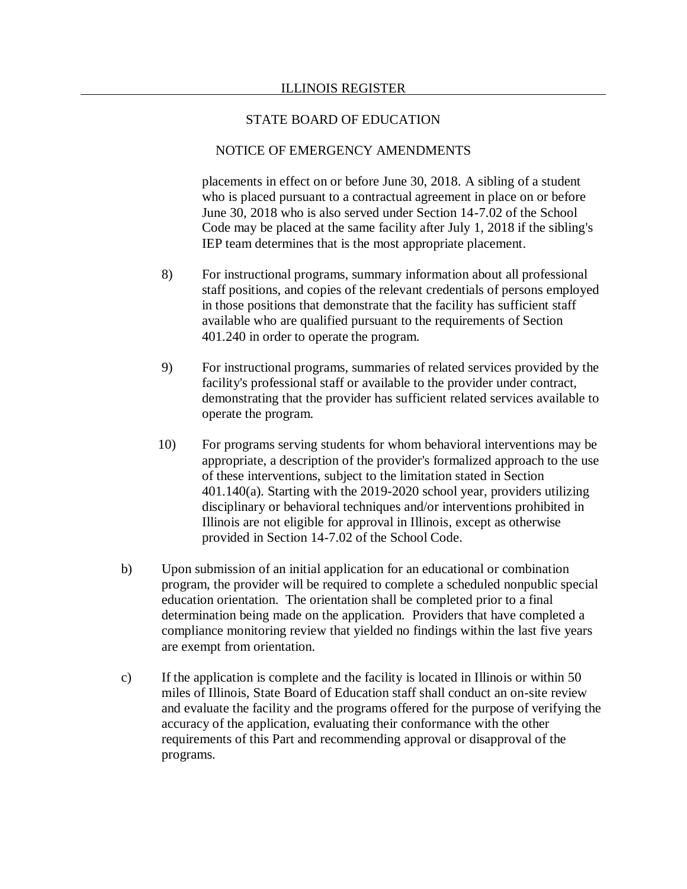### NOTICE OF EMERGENCY AMENDMENTS

placements in effect on or before June 30, 2018. A sibling of a student who is placed pursuant to a contractual agreement in place on or before June 30, 2018 who is also served under Section 14-7.02 of the School Code may be placed at the same facility after July 1, 2018 if the sibling's IEP team determines that is the most appropriate placement.

- 8) For instructional programs, summary information about all professional staff positions, and copies of the relevant credentials of persons employed in those positions that demonstrate that the facility has sufficient staff available who are qualified pursuant to the requirements of Section 401.240 in order to operate the program.
- 9) For instructional programs, summaries of related services provided by the facility's professional staff or available to the provider under contract, demonstrating that the provider has sufficient related services available to operate the program.
- 10) For programs serving students for whom behavioral interventions may be appropriate, a description of the provider's formalized approach to the use of these interventions, subject to the limitation stated in Section 401.140(a). Starting with the 2019-2020 school year, providers utilizing disciplinary or behavioral techniques and/or interventions prohibited in Illinois are not eligible for approval in Illinois, except as otherwise provided in Section 14-7.02 of the School Code.
- b) Upon submission of an initial application for an educational or combination program, the provider will be required to complete a scheduled nonpublic special education orientation. The orientation shall be completed prior to a final determination being made on the application. Providers that have completed a compliance monitoring review that yielded no findings within the last five years are exempt from orientation.
- c) If the application is complete and the facility is located in Illinois or within 50 miles of Illinois, State Board of Education staff shall conduct an on-site review and evaluate the facility and the programs offered for the purpose of verifying the accuracy of the application, evaluating their conformance with the other requirements of this Part and recommending approval or disapproval of the programs.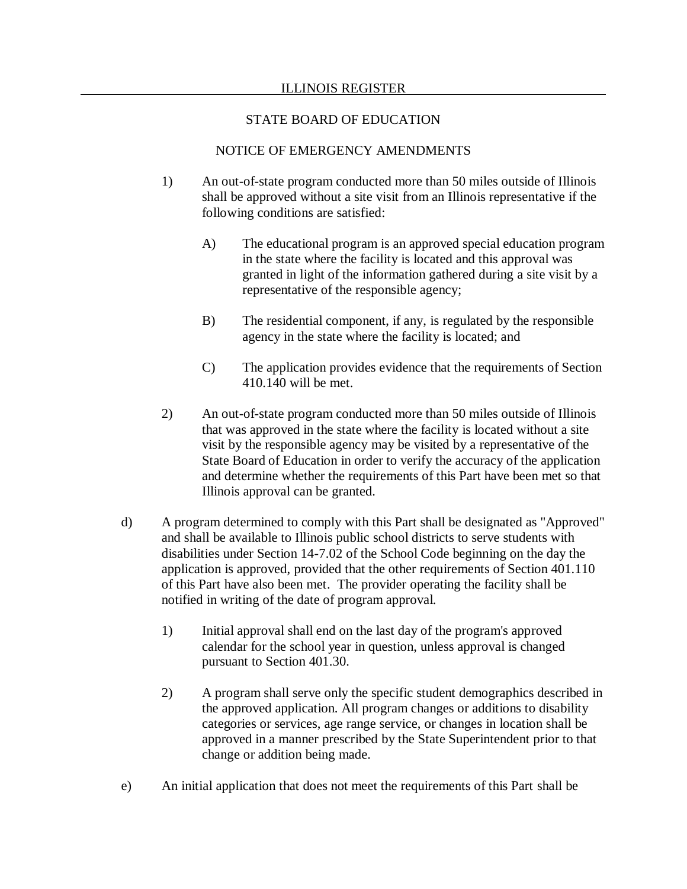## STATE BOARD OF EDUCATION

## NOTICE OF EMERGENCY AMENDMENTS

- 1) An out-of-state program conducted more than 50 miles outside of Illinois shall be approved without a site visit from an Illinois representative if the following conditions are satisfied:
	- A) The educational program is an approved special education program in the state where the facility is located and this approval was granted in light of the information gathered during a site visit by a representative of the responsible agency;
	- B) The residential component, if any, is regulated by the responsible agency in the state where the facility is located; and
	- C) The application provides evidence that the requirements of Section 410.140 will be met.
- 2) An out-of-state program conducted more than 50 miles outside of Illinois that was approved in the state where the facility is located without a site visit by the responsible agency may be visited by a representative of the State Board of Education in order to verify the accuracy of the application and determine whether the requirements of this Part have been met so that Illinois approval can be granted.
- d) A program determined to comply with this Part shall be designated as "Approved" and shall be available to Illinois public school districts to serve students with disabilities under Section 14-7.02 of the School Code beginning on the day the application is approved, provided that the other requirements of Section 401.110 of this Part have also been met. The provider operating the facility shall be notified in writing of the date of program approval.
	- 1) Initial approval shall end on the last day of the program's approved calendar for the school year in question, unless approval is changed pursuant to Section 401.30.
	- 2) A program shall serve only the specific student demographics described in the approved application. All program changes or additions to disability categories or services, age range service, or changes in location shall be approved in a manner prescribed by the State Superintendent prior to that change or addition being made.
- e) An initial application that does not meet the requirements of this Part shall be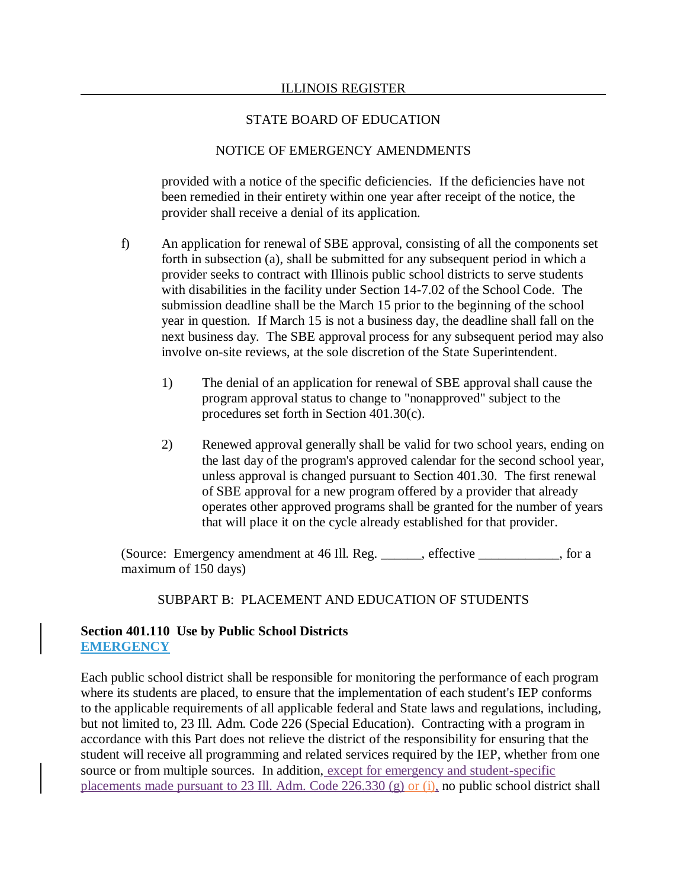## NOTICE OF EMERGENCY AMENDMENTS

provided with a notice of the specific deficiencies. If the deficiencies have not been remedied in their entirety within one year after receipt of the notice, the provider shall receive a denial of its application.

- f) An application for renewal of SBE approval, consisting of all the components set forth in subsection (a), shall be submitted for any subsequent period in which a provider seeks to contract with Illinois public school districts to serve students with disabilities in the facility under Section 14-7.02 of the School Code. The submission deadline shall be the March 15 prior to the beginning of the school year in question. If March 15 is not a business day, the deadline shall fall on the next business day. The SBE approval process for any subsequent period may also involve on-site reviews, at the sole discretion of the State Superintendent.
	- 1) The denial of an application for renewal of SBE approval shall cause the program approval status to change to "nonapproved" subject to the procedures set forth in Section 401.30(c).
	- 2) Renewed approval generally shall be valid for two school years, ending on the last day of the program's approved calendar for the second school year, unless approval is changed pursuant to Section 401.30. The first renewal of SBE approval for a new program offered by a provider that already operates other approved programs shall be granted for the number of years that will place it on the cycle already established for that provider.

(Source: Emergency amendment at 46 Ill. Reg. \_\_\_\_\_\_, effective \_\_\_\_\_\_\_\_\_\_\_\_, for a maximum of 150 days)

### SUBPART B: PLACEMENT AND EDUCATION OF STUDENTS

## **Section 401.110 Use by Public School Districts EMERGENCY**

Each public school district shall be responsible for monitoring the performance of each program where its students are placed, to ensure that the implementation of each student's IEP conforms to the applicable requirements of all applicable federal and State laws and regulations, including, but not limited to, 23 Ill. Adm. Code 226 (Special Education). Contracting with a program in accordance with this Part does not relieve the district of the responsibility for ensuring that the student will receive all programming and related services required by the IEP, whether from one source or from multiple sources. In addition, except for emergency and student-specific placements made pursuant to 23 Ill. Adm. Code 226.330 (g) or (i), no public school district shall